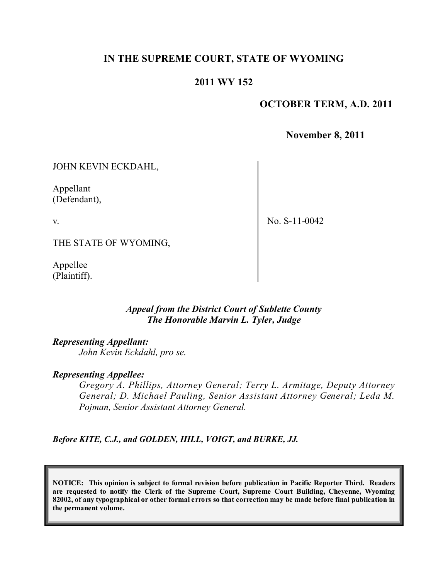# **IN THE SUPREME COURT, STATE OF WYOMING**

# **2011 WY 152**

### **OCTOBER TERM, A.D. 2011**

**November 8, 2011**

JOHN KEVIN ECKDAHL,

Appellant (Defendant),

v.

No. S-11-0042

THE STATE OF WYOMING,

Appellee (Plaintiff).

#### *Appeal from the District Court of Sublette County The Honorable Marvin L. Tyler, Judge*

#### *Representing Appellant:*

*John Kevin Eckdahl, pro se.*

#### *Representing Appellee:*

*Gregory A. Phillips, Attorney General; Terry L. Armitage, Deputy Attorney General; D. Michael Pauling, Senior Assistant Attorney General; Leda M. Pojman, Senior Assistant Attorney General.*

*Before KITE, C.J., and GOLDEN, HILL, VOIGT, and BURKE, JJ.*

**NOTICE: This opinion is subject to formal revision before publication in Pacific Reporter Third. Readers are requested to notify the Clerk of the Supreme Court, Supreme Court Building, Cheyenne, Wyoming** 82002, of any typographical or other formal errors so that correction may be made before final publication in **the permanent volume.**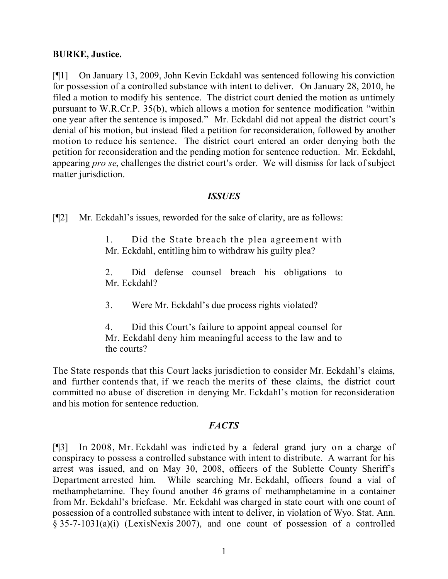### **BURKE, Justice.**

[¶1] On January 13, 2009, John Kevin Eckdahl was sentenced following his conviction for possession of a controlled substance with intent to deliver. On January 28, 2010, he filed a motion to modify his sentence. The district court denied the motion as untimely pursuant to W.R.Cr.P. 35(b), which allows a motion for sentence modification "within one year after the sentence is imposed." Mr. Eckdahl did not appeal the district court's denial of his motion, but instead filed a petition for reconsideration, followed by another motion to reduce his sentence. The district court entered an order denying both the petition for reconsideration and the pending motion for sentence reduction. Mr. Eckdahl, appearing *pro se*, challenges the district court's order. We will dismiss for lack of subject matter jurisdiction.

#### *ISSUES*

[¶2] Mr. Eckdahl's issues, reworded for the sake of clarity, are as follows:

1. Did the State breach the plea agreement with Mr. Eckdahl, entitling him to withdraw his guilty plea?

2. Did defense counsel breach his obligations to Mr. Eckdahl?

3. Were Mr. Eckdahl's due process rights violated?

4. Did this Court's failure to appoint appeal counsel for Mr. Eckdahl deny him meaningful access to the law and to the courts?

The State responds that this Court lacks jurisdiction to consider Mr. Eckdahl's claims, and further contends that, if we reach the merits of these claims, the district court committed no abuse of discretion in denying Mr. Eckdahl's motion for reconsideration and his motion for sentence reduction.

# *FACTS*

[¶3] In 2008, Mr. Eckdahl was indicted by a federal grand jury on a charge of conspiracy to possess a controlled substance with intent to distribute. A warrant for his arrest was issued, and on May 30, 2008, officers of the Sublette County Sheriff's Department arrested him. While searching Mr. Eckdahl, officers found a vial of methamphetamine. They found another 46 grams of methamphetamine in a container from Mr. Eckdahl's briefcase. Mr. Eckdahl was charged in state court with one count of possession of a controlled substance with intent to deliver, in violation of Wyo. Stat. Ann. § 35-7-1031(a)(i) (LexisNexis 2007), and one count of possession of a controlled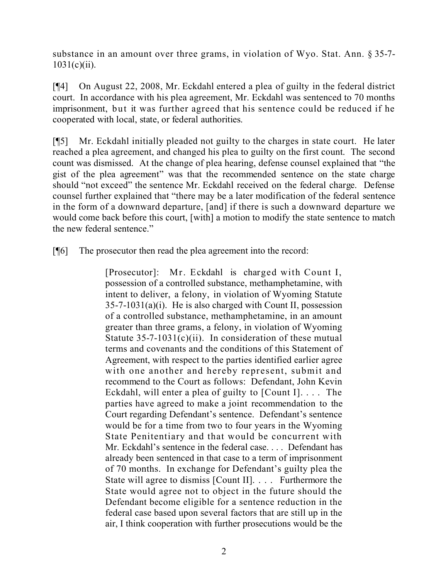substance in an amount over three grams, in violation of Wyo. Stat. Ann. § 35-7-  $1031(c)(ii)$ .

[¶4] On August 22, 2008, Mr. Eckdahl entered a plea of guilty in the federal district court. In accordance with his plea agreement, Mr. Eckdahl was sentenced to 70 months imprisonment, but it was further agreed that his sentence could be reduced if he cooperated with local, state, or federal authorities.

[¶5] Mr. Eckdahl initially pleaded not guilty to the charges in state court. He later reached a plea agreement, and changed his plea to guilty on the first count. The second count was dismissed. At the change of plea hearing, defense counsel explained that "the gist of the plea agreement" was that the recommended sentence on the state charge should "not exceed" the sentence Mr. Eckdahl received on the federal charge. Defense counsel further explained that "there may be a later modification of the federal sentence in the form of a downward departure, [and] if there is such a downward departure we would come back before this court, [with] a motion to modify the state sentence to match the new federal sentence."

[¶6] The prosecutor then read the plea agreement into the record:

[Prosecutor]: Mr. Eckdahl is charged with Count I, possession of a controlled substance, methamphetamine, with intent to deliver, a felony, in violation of Wyoming Statute  $35-7-1031(a)(i)$ . He is also charged with Count II, possession of a controlled substance, methamphetamine, in an amount greater than three grams, a felony, in violation of Wyoming Statute  $35-7-1031(c)(ii)$ . In consideration of these mutual terms and covenants and the conditions of this Statement of Agreement, with respect to the parties identified earlier agree with one another and hereby represent, submit and recommend to the Court as follows: Defendant, John Kevin Eckdahl, will enter a plea of guilty to [Count I]. . . . The parties have agreed to make a joint recommendation to the Court regarding Defendant's sentence. Defendant's sentence would be for a time from two to four years in the Wyoming State Penitentiary and that would be concurrent with Mr. Eckdahl's sentence in the federal case. . . . Defendant has already been sentenced in that case to a term of imprisonment of 70 months. In exchange for Defendant's guilty plea the State will agree to dismiss [Count II]. . . . Furthermore the State would agree not to object in the future should the Defendant become eligible for a sentence reduction in the federal case based upon several factors that are still up in the air, I think cooperation with further prosecutions would be the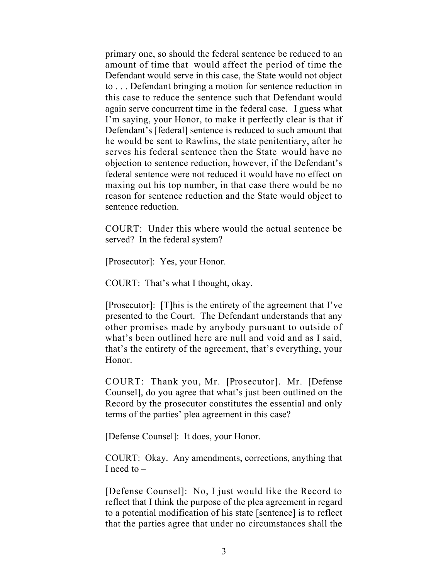primary one, so should the federal sentence be reduced to an amount of time that would affect the period of time the Defendant would serve in this case, the State would not object to . . . Defendant bringing a motion for sentence reduction in this case to reduce the sentence such that Defendant would again serve concurrent time in the federal case. I guess what I'm saying, your Honor, to make it perfectly clear is that if Defendant's [federal] sentence is reduced to such amount that he would be sent to Rawlins, the state penitentiary, after he serves his federal sentence then the State would have no objection to sentence reduction, however, if the Defendant's federal sentence were not reduced it would have no effect on maxing out his top number, in that case there would be no reason for sentence reduction and the State would object to sentence reduction.

COURT: Under this where would the actual sentence be served? In the federal system?

[Prosecutor]: Yes, your Honor.

COURT: That's what I thought, okay.

[Prosecutor]: [T]his is the entirety of the agreement that I've presented to the Court. The Defendant understands that any other promises made by anybody pursuant to outside of what's been outlined here are null and void and as I said, that's the entirety of the agreement, that's everything, your Honor.

COURT: Thank you, Mr. [Prosecutor]. Mr. [Defense Counsel], do you agree that what's just been outlined on the Record by the prosecutor constitutes the essential and only terms of the parties' plea agreement in this case?

[Defense Counsel]: It does, your Honor.

COURT: Okay. Any amendments, corrections, anything that I need to  $-$ 

[Defense Counsel]: No, I just would like the Record to reflect that I think the purpose of the plea agreement in regard to a potential modification of his state [sentence] is to reflect that the parties agree that under no circumstances shall the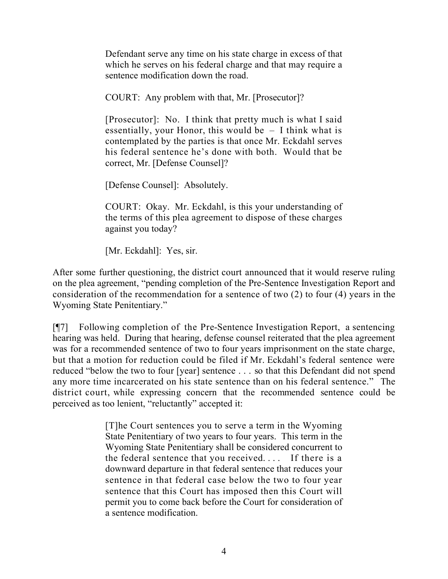Defendant serve any time on his state charge in excess of that which he serves on his federal charge and that may require a sentence modification down the road.

COURT: Any problem with that, Mr. [Prosecutor]?

[Prosecutor]: No. I think that pretty much is what I said essentially, your Honor, this would be  $-$  I think what is contemplated by the parties is that once Mr. Eckdahl serves his federal sentence he's done with both. Would that be correct, Mr. [Defense Counsel]?

[Defense Counsel]: Absolutely.

COURT: Okay. Mr. Eckdahl, is this your understanding of the terms of this plea agreement to dispose of these charges against you today?

[Mr. Eckdahl]: Yes, sir.

After some further questioning, the district court announced that it would reserve ruling on the plea agreement, "pending completion of the Pre-Sentence Investigation Report and consideration of the recommendation for a sentence of two (2) to four (4) years in the Wyoming State Penitentiary."

[¶7] Following completion of the Pre-Sentence Investigation Report, a sentencing hearing was held. During that hearing, defense counsel reiterated that the plea agreement was for a recommended sentence of two to four years imprisonment on the state charge, but that a motion for reduction could be filed if Mr. Eckdahl's federal sentence were reduced "below the two to four [year] sentence . . . so that this Defendant did not spend any more time incarcerated on his state sentence than on his federal sentence." The district court, while expressing concern that the recommended sentence could be perceived as too lenient, "reluctantly" accepted it:

> [T]he Court sentences you to serve a term in the Wyoming State Penitentiary of two years to four years. This term in the Wyoming State Penitentiary shall be considered concurrent to the federal sentence that you received. . . . If there is a downward departure in that federal sentence that reduces your sentence in that federal case below the two to four year sentence that this Court has imposed then this Court will permit you to come back before the Court for consideration of a sentence modification.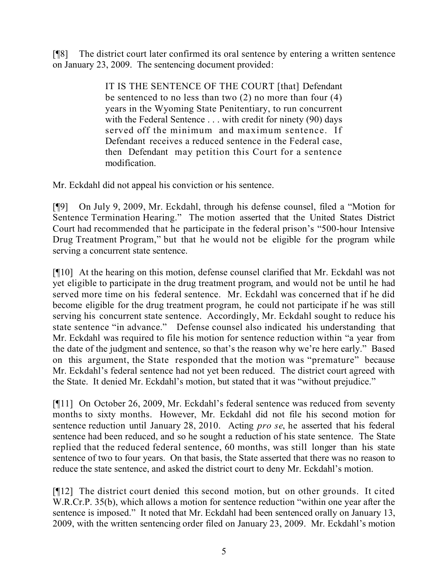[¶8] The district court later confirmed its oral sentence by entering a written sentence on January 23, 2009. The sentencing document provided:

> IT IS THE SENTENCE OF THE COURT [that] Defendant be sentenced to no less than two (2) no more than four (4) years in the Wyoming State Penitentiary, to run concurrent with the Federal Sentence . . . with credit for ninety (90) days served off the minimum and maximum sentence. If Defendant receives a reduced sentence in the Federal case, then Defendant may petition this Court for a sentence modification.

Mr. Eckdahl did not appeal his conviction or his sentence.

[¶9] On July 9, 2009, Mr. Eckdahl, through his defense counsel, filed a "Motion for Sentence Termination Hearing." The motion asserted that the United States District Court had recommended that he participate in the federal prison's "500-hour Intensive Drug Treatment Program," but that he would not be eligible for the program while serving a concurrent state sentence.

[¶10] At the hearing on this motion, defense counsel clarified that Mr. Eckdahl was not yet eligible to participate in the drug treatment program, and would not be until he had served more time on his federal sentence. Mr. Eckdahl was concerned that if he did become eligible for the drug treatment program, he could not participate if he was still serving his concurrent state sentence. Accordingly, Mr. Eckdahl sought to reduce his state sentence "in advance." Defense counsel also indicated his understanding that Mr. Eckdahl was required to file his motion for sentence reduction within "a year from the date of the judgment and sentence, so that's the reason why we're here early." Based on this argument, the State responded that the motion was "premature" because Mr. Eckdahl's federal sentence had not yet been reduced. The district court agreed with the State. It denied Mr. Eckdahl's motion, but stated that it was "without prejudice."

[¶11] On October 26, 2009, Mr. Eckdahl's federal sentence was reduced from seventy months to sixty months. However, Mr. Eckdahl did not file his second motion for sentence reduction until January 28, 2010. Acting *pro se*, he asserted that his federal sentence had been reduced, and so he sought a reduction of his state sentence. The State replied that the reduced federal sentence, 60 months, was still longer than his state sentence of two to four years. On that basis, the State asserted that there was no reason to reduce the state sentence, and asked the district court to deny Mr. Eckdahl's motion.

[¶12] The district court denied this second motion, but on other grounds. It cited W.R.Cr.P. 35(b), which allows a motion for sentence reduction "within one year after the sentence is imposed." It noted that Mr. Eckdahl had been sentenced orally on January 13, 2009, with the written sentencing order filed on January 23, 2009. Mr. Eckdahl's motion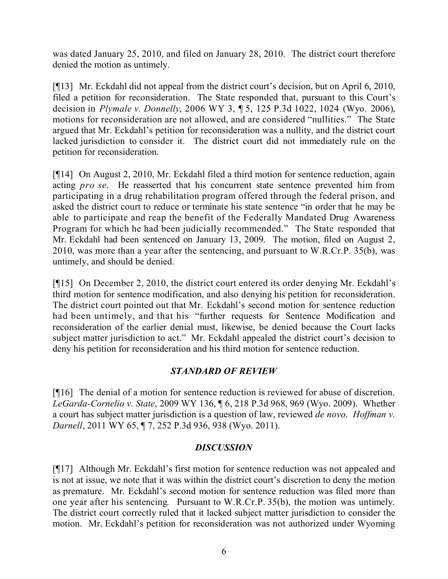was dated January 25, 2010, and filed on January 28, 2010. The district court therefore denied the motion as untimely.

[¶13] Mr. Eckdahl did not appeal from the district court's decision, but on April 6, 2010, filed a petition for reconsideration. The State responded that, pursuant to this Court's decision in *Plymale v. Donnelly*, 2006 WY 3, ¶ 5, 125 P.3d 1022, 1024 (Wyo. 2006), motions for reconsideration are not allowed, and are considered "nullities." The State argued that Mr. Eckdahl's petition for reconsideration was a nullity, and the district court lacked jurisdiction to consider it. The district court did not immediately rule on the petition for reconsideration.

[¶14] On August 2, 2010, Mr. Eckdahl filed a third motion for sentence reduction, again acting *pro se*. He reasserted that his concurrent state sentence prevented him from participating in a drug rehabilitation program offered through the federal prison, and asked the district court to reduce or terminate his state sentence "in order that he may be able to participate and reap the benefit of the Federally Mandated Drug Awareness Program for which he had been judicially recommended." The State responded that Mr. Eckdahl had been sentenced on January 13, 2009. The motion, filed on August 2, 2010, was more than a year after the sentencing, and pursuant to W.R.Cr.P. 35(b), was untimely, and should be denied.

[¶15] On December 2, 2010, the district court entered its order denying Mr. Eckdahl's third motion for sentence modification, and also denying his petition for reconsideration. The district court pointed out that Mr. Eckdahl's second motion for sentence reduction had been untimely, and that his "further requests for Sentence Modification and reconsideration of the earlier denial must, likewise, be denied because the Court lacks subject matter jurisdiction to act." Mr. Eckdahl appealed the district court's decision to deny his petition for reconsideration and his third motion for sentence reduction.

# *STANDARD OF REVIEW*

[¶16] The denial of a motion for sentence reduction is reviewed for abuse of discretion. *LeGarda-Cornelio v. State*, 2009 WY 136, ¶ 6, 218 P.3d 968, 969 (Wyo. 2009). Whether a court has subject matter jurisdiction is a question of law, reviewed *de novo*. *Hoffman v. Darnell*, 2011 WY 65, ¶ 7, 252 P.3d 936, 938 (Wyo. 2011).

# *DISCUSSION*

[¶17] Although Mr. Eckdahl's first motion for sentence reduction was not appealed and is not at issue, we note that it was within the district court's discretion to deny the motion as premature. Mr. Eckdahl's second motion for sentence reduction was filed more than one year after his sentencing. Pursuant to W.R.Cr.P. 35(b), the motion was untimely. The district court correctly ruled that it lacked subject matter jurisdiction to consider the motion. Mr. Eckdahl's petition for reconsideration was not authorized under Wyoming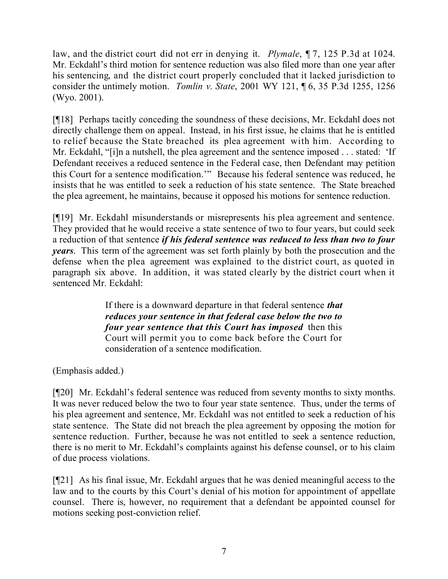law, and the district court did not err in denying it. *Plymale*, ¶ 7, 125 P.3d at 1024. Mr. Eckdahl's third motion for sentence reduction was also filed more than one year after his sentencing, and the district court properly concluded that it lacked jurisdiction to consider the untimely motion. *Tomlin v. State*, 2001 WY 121, ¶ 6, 35 P.3d 1255, 1256 (Wyo. 2001).

[¶18] Perhaps tacitly conceding the soundness of these decisions, Mr. Eckdahl does not directly challenge them on appeal. Instead, in his first issue, he claims that he is entitled to relief because the State breached its plea agreement with him. According to Mr. Eckdahl, "[i]n a nutshell, the plea agreement and the sentence imposed . . . stated: 'If Defendant receives a reduced sentence in the Federal case, then Defendant may petition this Court for a sentence modification.'" Because his federal sentence was reduced, he insists that he was entitled to seek a reduction of his state sentence. The State breached the plea agreement, he maintains, because it opposed his motions for sentence reduction.

[¶19] Mr. Eckdahl misunderstands or misrepresents his plea agreement and sentence. They provided that he would receive a state sentence of two to four years, but could seek a reduction of that sentence *if his federal sentence was reduced to less than two to four years*. This term of the agreement was set forth plainly by both the prosecution and the defense when the plea agreement was explained to the district court, as quoted in paragraph six above. In addition, it was stated clearly by the district court when it sentenced Mr. Eckdahl:

> If there is a downward departure in that federal sentence *that reduces your sentence in that federal case below the two to four year sentence that this Court has imposed* then this Court will permit you to come back before the Court for consideration of a sentence modification.

(Emphasis added.)

[¶20] Mr. Eckdahl's federal sentence was reduced from seventy months to sixty months. It was never reduced below the two to four year state sentence. Thus, under the terms of his plea agreement and sentence, Mr. Eckdahl was not entitled to seek a reduction of his state sentence. The State did not breach the plea agreement by opposing the motion for sentence reduction. Further, because he was not entitled to seek a sentence reduction, there is no merit to Mr. Eckdahl's complaints against his defense counsel, or to his claim of due process violations.

[¶21] As his final issue, Mr. Eckdahl argues that he was denied meaningful access to the law and to the courts by this Court's denial of his motion for appointment of appellate counsel. There is, however, no requirement that a defendant be appointed counsel for motions seeking post-conviction relief.